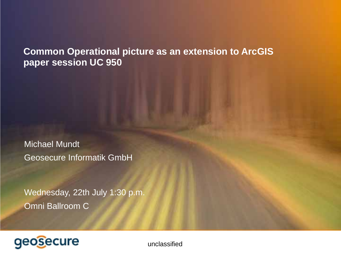**Common Operational picture as an extension to ArcGIS paper session UC 950** 

Michael Mundt Geosecure Informatik GmbH

Wednesday, 22th July 1:30 p.m. Omni Ballroom C

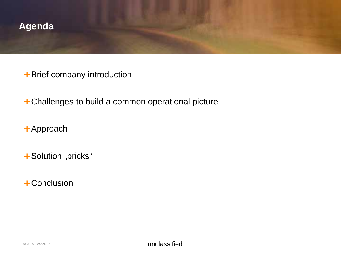

- + Brief company introduction
- + Challenges to build a common operational picture
- + Approach
- + Solution "bricks"
- + Conclusion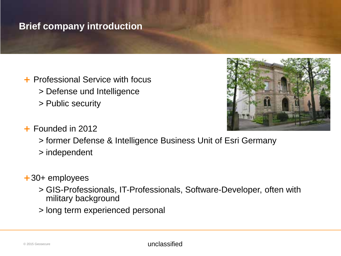# **Brief company introduction**

+ Professional Service with focus > Defense und Intelligence > Public security



- + Founded in 2012
	- > former Defense & Intelligence Business Unit of Esri Germany
	- > independent
- + 30+ employees
	- > GIS-Professionals, IT-Professionals, Software-Developer, often with military background
	- > long term experienced personal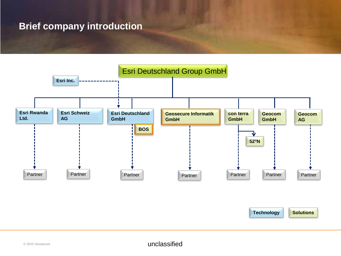# **Brief company introduction**

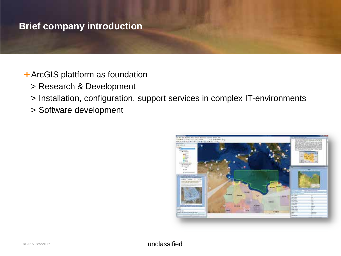# **Brief company introduction**

- + ArcGIS plattform as foundation
	- > Research & Development
	- > Installation, configuration, support services in complex IT-environments
	- > Software development

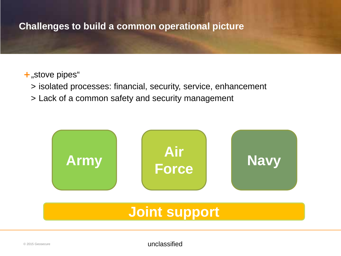# **Challenges to build a common operational picture**

### + "stove pipes"

- > isolated processes: financial, security, service, enhancement
- > Lack of a common safety and security management

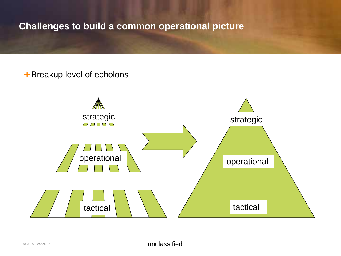**Challenges to build a common operational picture**

+ Breakup level of echolons

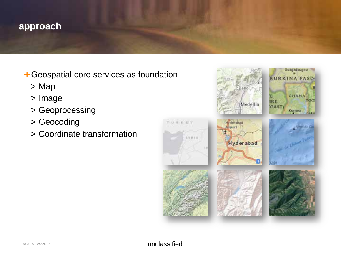- + Geospatial core services as foundation
	- > Map
	- > Image
	- > Geoprocessing
	- > Geocoding
	- > Coordinate transformation

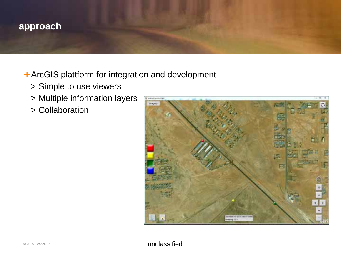- + ArcGIS plattform for integration and development
	- > Simple to use viewers
	- > Multiple information layers
	- > Collaboration

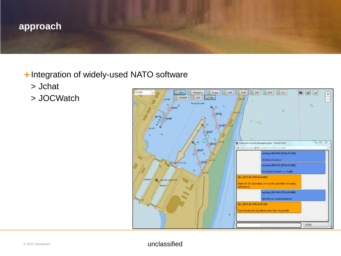- + Integration of widely-used NATO software
	- > Jchat
	- > JOCWatch

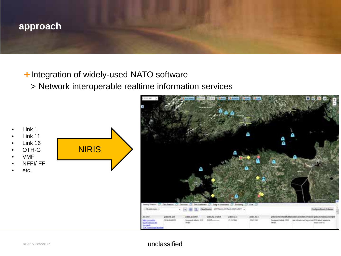- + Integration of widely-used NATO software
	- > Network interoperable realtime information services



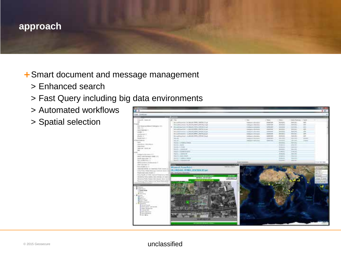- + Smart document and message management
	- > Enhanced search
	- > Fast Query including big data environments
	- > Automated workflows
	- > Spatial selection

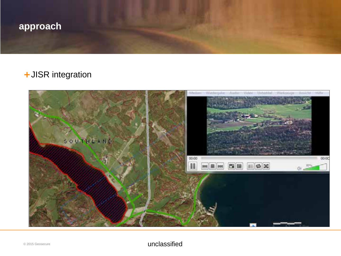

# + JISR integration

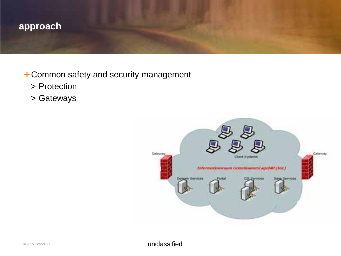

# + Common safety and security management

- > Protection
- > Gateways

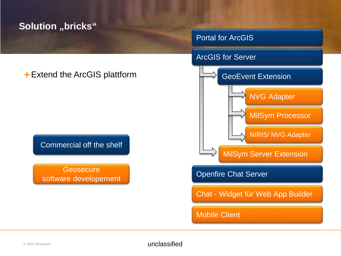# **Solution "bricks"**

### Portal for ArcGIS



# + Extend the ArcGIS plattform

Commercial off the shelf

**Geosecure** software developement